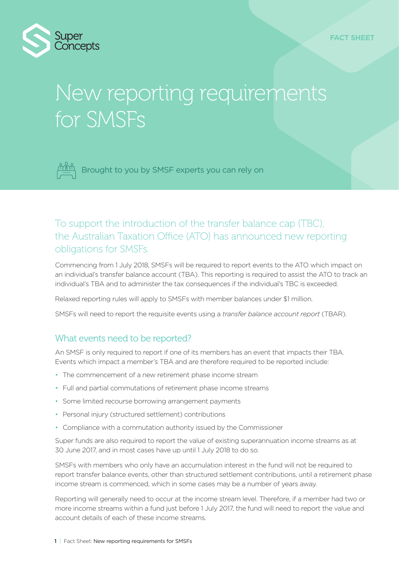

# New reporting requirements for SMSFs



Brought to you by SMSF experts you can rely on

## To support the introduction of the transfer balance cap (TBC), the Australian Taxation Office (ATO) has announced new reporting obligations for SMSFs.

Commencing from 1 July 2018, SMSFs will be required to report events to the ATO which impact on an individual's transfer balance account (TBA). This reporting is required to assist the ATO to track an individual's TBA and to administer the tax consequences if the individual's TBC is exceeded.

Relaxed reporting rules will apply to SMSFs with member balances under \$1 million.

SMSFs will need to report the requisite events using a *transfer balance account report* (TBAR).

## What events need to be reported?

An SMSF is only required to report if one of its members has an event that impacts their TBA. Events which impact a member's TBA and are therefore required to be reported include:

- The commencement of a new retirement phase income stream
- Full and partial commutations of retirement phase income streams
- Some limited recourse borrowing arrangement payments
- Personal injury (structured settlement) contributions
- Compliance with a commutation authority issued by the Commissioner

Super funds are also required to report the value of existing superannuation income streams as at 30 June 2017, and in most cases have up until 1 July 2018 to do so.

SMSFs with members who only have an accumulation interest in the fund will not be required to report transfer balance events, other than structured settlement contributions, until a retirement phase income stream is commenced, which in some cases may be a number of years away.

Reporting will generally need to occur at the income stream level. Therefore, if a member had two or more income streams within a fund just before 1 July 2017, the fund will need to report the value and account details of each of these income streams.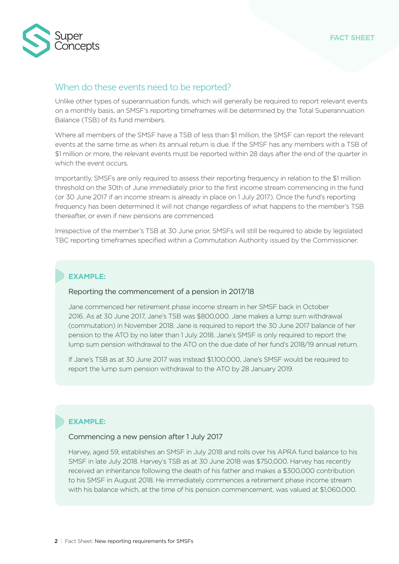

#### When do these events need to be reported?

Unlike other types of superannuation funds, which will generally be required to report relevant events on a monthly basis, an SMSF's reporting timeframes will be determined by the Total Superannuation Balance (TSB) of its fund members.

Where all members of the SMSF have a TSB of less than \$1 million, the SMSF can report the relevant events at the same time as when its annual return is due. If the SMSF has any members with a TSB of \$1 million or more, the relevant events must be reported within 28 days after the end of the quarter in which the event occurs.

Importantly, SMSFs are only required to assess their reporting frequency in relation to the \$1 million threshold on the 30th of June immediately prior to the first income stream commencing in the fund (or 30 June 2017 if an income stream is already in place on 1 July 2017). Once the fund's reporting frequency has been determined it will not change regardless of what happens to the member's TSB thereafter, or even if new pensions are commenced.

Irrespective of the member's TSB at 30 June prior, SMSFs will still be required to abide by legislated TBC reporting timeframes specified within a Commutation Authority issued by the Commissioner.

#### **EXAMPLE:**

#### Reporting the commencement of a pension in 2017/18

Jane commenced her retirement phase income stream in her SMSF back in October 2016. As at 30 June 2017, Jane's TSB was \$800,000. Jane makes a lump sum withdrawal (commutation) in November 2018. Jane is required to report the 30 June 2017 balance of her pension to the ATO by no later than 1 July 2018. Jane's SMSF is only required to report the lump sum pension withdrawal to the ATO on the due date of her fund's 2018/19 annual return.

If Jane's TSB as at 30 June 2017 was instead \$1,100,000, Jane's SMSF would be required to report the lump sum pension withdrawal to the ATO by 28 January 2019.

#### **EXAMPLE:**

#### Commencing a new pension after 1 July 2017

Harvey, aged 59, establishes an SMSF in July 2018 and rolls over his APRA fund balance to his SMSF in late July 2018. Harvey's TSB as at 30 June 2018 was \$750,000. Harvey has recently received an inheritance following the death of his father and makes a \$300,000 contribution to his SMSF in August 2018. He immediately commences a retirement phase income stream with his balance which, at the time of his pension commencement, was valued at \$1,060,000.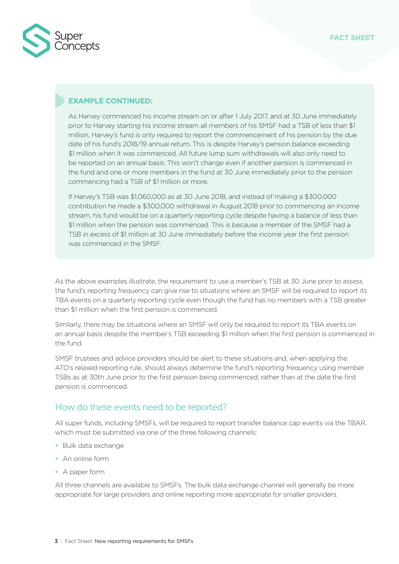

#### **EXAMPLE CONTINUED:**

As Harvey commenced his income stream on or after 1 July 2017, and at 30 June immediately prior to Harvey starting his income stream all members of his SMSF had a TSB of less than \$1 million, Harvey's fund is only required to report the commencement of his pension by the due date of his fund's 2018/19 annual return. This is despite Harvey's pension balance exceeding \$1 million when it was commenced. All future lump sum withdrawals will also only need to be reported on an annual basis. This won't change even if another pension is commenced in the fund and one or more members in the fund at 30 June immediately prior to the pension commencing had a TSB of \$1 million or more.

If Harvey's TSB was \$1,060,000 as at 30 June 2018, and instead of making a \$300,000 contribution he made a \$300,000 withdrawal in August 2018 prior to commencing an income stream, his fund would be on a quarterly reporting cycle despite having a balance of less than \$1 million when the pension was commenced. This is because a member of the SMSF had a TSB in excess of \$1 million at 30 June immediately before the income year the first pension was commenced in the SMSF.

As the above examples illustrate, the requirement to use a member's TSB at 30 June prior to assess the fund's reporting frequency can give rise to situations where an SMSF will be required to report its TBA events on a quarterly reporting cycle even though the fund has no members with a TSB greater than \$1 million when the first pension is commenced.

Similarly, there may be situations where an SMSF will only be required to report its TBA events on an annual basis despite the member's TSB exceeding \$1 million when the first pension is commenced in the fund.

SMSF trustees and advice providers should be alert to these situations and, when applying the ATO's relaxed reporting rule, should always determine the fund's reporting frequency using member TSBs as at 30th June prior to the first pension being commenced, rather than at the date the first pension is commenced.

### How do these events need to be reported?

All super funds, including SMSFs, will be required to report transfer balance cap events via the TBAR, which must be submitted via one of the three following channels:

- Bulk data exchange
- An online form
- A paper form

All three channels are available to SMSFs. The bulk data exchange channel will generally be more appropriate for large providers and online reporting more appropriate for smaller providers.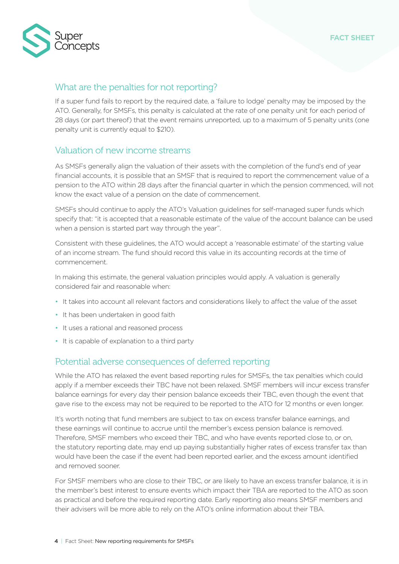

### What are the penalties for not reporting?

If a super fund fails to report by the required date, a 'failure to lodge' penalty may be imposed by the ATO. Generally, for SMSFs, this penalty is calculated at the rate of one penalty unit for each period of 28 days (or part thereof) that the event remains unreported, up to a maximum of 5 penalty units (one penalty unit is currently equal to \$210).

#### Valuation of new income streams

As SMSFs generally align the valuation of their assets with the completion of the fund's end of year financial accounts, it is possible that an SMSF that is required to report the commencement value of a pension to the ATO within 28 days after the financial quarter in which the pension commenced, will not know the exact value of a pension on the date of commencement.

SMSFs should continue to apply the ATO's Valuation guidelines for self-managed super funds which specify that: "it is accepted that a reasonable estimate of the value of the account balance can be used when a pension is started part way through the year".

Consistent with these guidelines, the ATO would accept a 'reasonable estimate' of the starting value of an income stream. The fund should record this value in its accounting records at the time of commencement.

In making this estimate, the general valuation principles would apply. A valuation is generally considered fair and reasonable when:

- It takes into account all relevant factors and considerations likely to affect the value of the asset
- It has been undertaken in good faith
- It uses a rational and reasoned process
- It is capable of explanation to a third party

### Potential adverse consequences of deferred reporting

While the ATO has relaxed the event based reporting rules for SMSFs, the tax penalties which could apply if a member exceeds their TBC have not been relaxed. SMSF members will incur excess transfer balance earnings for every day their pension balance exceeds their TBC, even though the event that gave rise to the excess may not be required to be reported to the ATO for 12 months or even longer.

It's worth noting that fund members are subject to tax on excess transfer balance earnings, and these earnings will continue to accrue until the member's excess pension balance is removed. Therefore, SMSF members who exceed their TBC, and who have events reported close to, or on, the statutory reporting date, may end up paying substantially higher rates of excess transfer tax than would have been the case if the event had been reported earlier, and the excess amount identified and removed sooner.

For SMSF members who are close to their TBC, or are likely to have an excess transfer balance, it is in the member's best interest to ensure events which impact their TBA are reported to the ATO as soon as practical and before the required reporting date. Early reporting also means SMSF members and their advisers will be more able to rely on the ATO's online information about their TBA.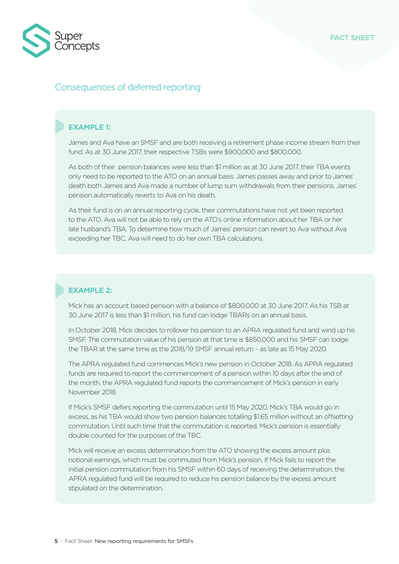

## Consequences of deferred reporting

#### **EXAMPLE 1:**

James and Ava have an SMSF and are both receiving a retirement phase income stream from their fund. As at 30 June 2017, their respective TSBs were \$900,000 and \$800,000.

As both of their pension balances were less than \$1 million as at 30 June 2017, their TBA events only need to be reported to the ATO on an annual basis. James passes away and prior to James' death both James and Ava made a number of lump sum withdrawals from their pensions. James' pension automatically reverts to Ava on his death.

As their fund is on an annual reporting cycle, their commutations have not yet been reported to the ATO. Ava will not be able to rely on the ATO's online information about her TBA or her late husband's TBA. To determine how much of James' pension can revert to Ava without Ava exceeding her TBC, Ava will need to do her own TBA calculations.

#### **EXAMPLE 2:**

Mick has an account based pension with a balance of \$800,000 at 30 June 2017. As his TSB at 30 June 2017 is less than \$1 million, his fund can lodge TBARs on an annual basis.

In October 2018, Mick decides to rollover his pension to an APRA regulated fund and wind up his SMSF. The commutation value of his pension at that time is \$850,000 and his SMSF can lodge the TBAR at the same time as the 2018/19 SMSF annual return – as late as 15 May 2020.

The APRA regulated fund commences Mick's new pension in October 2018. As APRA regulated funds are required to report the commencement of a pension within 10 days after the end of the month, the APRA regulated fund reports the commencement of Mick's pension in early November 2018.

If Mick's SMSF defers reporting the commutation until 15 May 2020, Mick's TBA would go in excess, as his TBA would show two pension balances totalling \$1.65 million without an offsetting commutation. Until such time that the commutation is reported, Mick's pension is essentially double counted for the purposes of the TBC.

Mick will receive an excess determination from the ATO showing the excess amount plus notional earnings, which must be commuted from Mick's pension. If Mick fails to report the initial pension commutation from his SMSF within 60 days of receiving the determination, the APRA regulated fund will be required to reduce his pension balance by the excess amount stipulated on the determination.